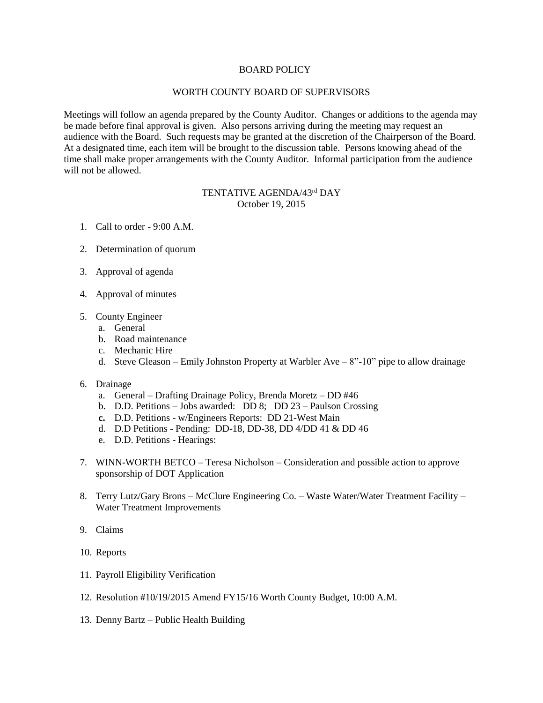## BOARD POLICY

## WORTH COUNTY BOARD OF SUPERVISORS

Meetings will follow an agenda prepared by the County Auditor. Changes or additions to the agenda may be made before final approval is given. Also persons arriving during the meeting may request an audience with the Board. Such requests may be granted at the discretion of the Chairperson of the Board. At a designated time, each item will be brought to the discussion table. Persons knowing ahead of the time shall make proper arrangements with the County Auditor. Informal participation from the audience will not be allowed.

## TENTATIVE AGENDA/43<sup>rd</sup> DAY October 19, 2015

- 1. Call to order 9:00 A.M.
- 2. Determination of quorum
- 3. Approval of agenda
- 4. Approval of minutes
- 5. County Engineer
	- a. General
	- b. Road maintenance
	- c. Mechanic Hire
	- d. Steve Gleason Emily Johnston Property at Warbler Ave  $8"$ -10" pipe to allow drainage
- 6. Drainage
	- a. General Drafting Drainage Policy, Brenda Moretz DD #46
	- b. D.D. Petitions Jobs awarded: DD 8; DD 23 Paulson Crossing
	- **c.** D.D. Petitions w/Engineers Reports: DD 21-West Main
	- d. D.D Petitions Pending: DD-18, DD-38, DD 4/DD 41 & DD 46
	- e. D.D. Petitions Hearings:
- 7. WINN-WORTH BETCO Teresa Nicholson Consideration and possible action to approve sponsorship of DOT Application
- 8. Terry Lutz/Gary Brons McClure Engineering Co. Waste Water/Water Treatment Facility Water Treatment Improvements
- 9. Claims
- 10. Reports
- 11. Payroll Eligibility Verification
- 12. Resolution #10/19/2015 Amend FY15/16 Worth County Budget, 10:00 A.M.
- 13. Denny Bartz Public Health Building